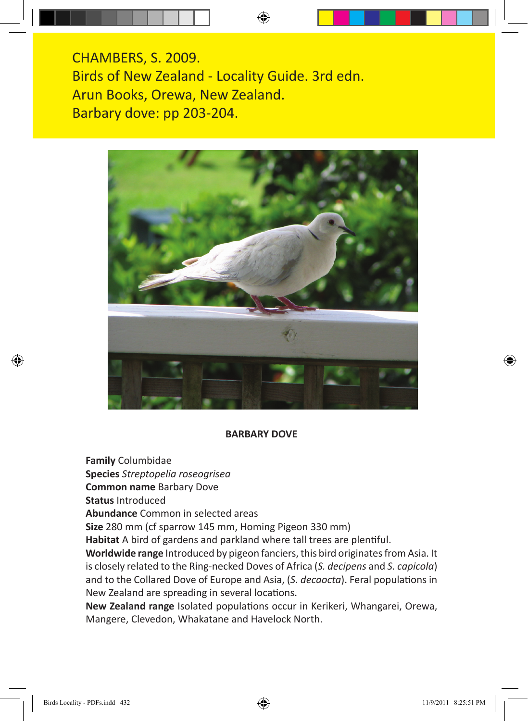CHAMBERS, S. 2009. Birds of New Zealand - Locality Guide. 3rd edn. Arun Books, Orewa, New Zealand. Barbary dove: pp 203-204.



## **BARBARY DOVE**

**Family** Columbidae

**Species** *Streptopelia roseogrisea*

**Common name** Barbary Dove

**Status** Introduced

**Abundance** Common in selected areas

**Size** 280 mm (cf sparrow 145 mm, Homing Pigeon 330 mm)

**Habitat** A bird of gardens and parkland where tall trees are plentiful.

**Worldwide range** Introduced by pigeon fanciers, this bird originates from Asia. It is closely related to the Ring-necked Doves of Africa (*S. decipens* and *S. capicola*) and to the Collared Dove of Europe and Asia, (*S. decaocta*). Feral populations in New Zealand are spreading in several locations.

**New Zealand range** Isolated populations occur in Kerikeri, Whangarei, Orewa, Mangere, Clevedon, Whakatane and Havelock North.